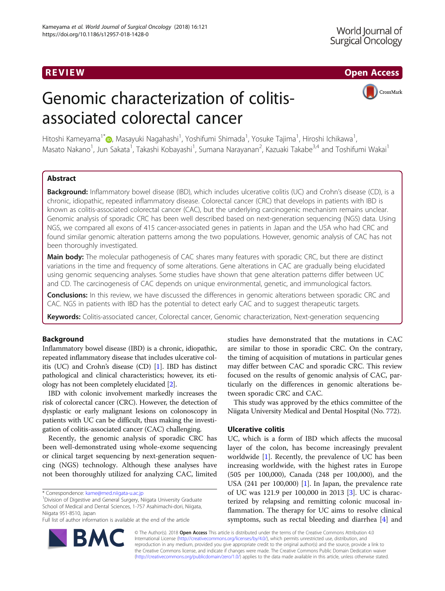REVIEW AND REVIEW IN THE SERVICE OF THE SERVICE OF THE SERVICE OF THE SERVICE OF THE SERVICE OF THE SERVICE OF

# Genomic characterization of colitisassociated colorectal cancer



Hitoshi Kameyama<sup>1[\\*](http://orcid.org/0000-0002-1091-9606)</sup>@, Masayuki Nagahashi<sup>1</sup>, Yoshifumi Shimada<sup>1</sup>, Yosuke Tajima<sup>1</sup>, Hiroshi Ichikawa<sup>1</sup> , Masato Nakano<sup>1</sup>, Jun Sakata<sup>1</sup>, Takashi Kobayashi<sup>1</sup>, Sumana Narayanan<sup>2</sup>, Kazuaki Takabe<sup>3,4</sup> and Toshifumi Wakai<sup>1</sup>

# Abstract

Background: Inflammatory bowel disease (IBD), which includes ulcerative colitis (UC) and Crohn's disease (CD), is a chronic, idiopathic, repeated inflammatory disease. Colorectal cancer (CRC) that develops in patients with IBD is known as colitis-associated colorectal cancer (CAC), but the underlying carcinogenic mechanism remains unclear. Genomic analysis of sporadic CRC has been well described based on next-generation sequencing (NGS) data. Using NGS, we compared all exons of 415 cancer-associated genes in patients in Japan and the USA who had CRC and found similar genomic alteration patterns among the two populations. However, genomic analysis of CAC has not been thoroughly investigated.

Main body: The molecular pathogenesis of CAC shares many features with sporadic CRC, but there are distinct variations in the time and frequency of some alterations. Gene alterations in CAC are gradually being elucidated using genomic sequencing analyses. Some studies have shown that gene alteration patterns differ between UC and CD. The carcinogenesis of CAC depends on unique environmental, genetic, and immunological factors.

**Conclusions:** In this review, we have discussed the differences in genomic alterations between sporadic CRC and CAC. NGS in patients with IBD has the potential to detect early CAC and to suggest therapeutic targets.

Keywords: Colitis-associated cancer, Colorectal cancer, Genomic characterization, Next-generation sequencing

# Background

Inflammatory bowel disease (IBD) is a chronic, idiopathic, repeated inflammatory disease that includes ulcerative colitis (UC) and Crohn's disease (CD) [\[1](#page-4-0)]. IBD has distinct pathological and clinical characteristics; however, its etiology has not been completely elucidated [[2\]](#page-4-0).

IBD with colonic involvement markedly increases the risk of colorectal cancer (CRC). However, the detection of dysplastic or early malignant lesions on colonoscopy in patients with UC can be difficult, thus making the investigation of colitis-associated cancer (CAC) challenging.

Recently, the genomic analysis of sporadic CRC has been well-demonstrated using whole-exome sequencing or clinical target sequencing by next-generation sequencing (NGS) technology. Although these analyses have not been thoroughly utilized for analyzing CAC, limited

<sup>1</sup> Division of Digestive and General Surgery, Niigata University Graduate School of Medical and Dental Sciences, 1-757 Asahimachi-dori, Niigata, Niigata 951-8510, Japan

Full list of author information is available at the end of the article



This study was approved by the ethics committee of the Niigata University Medical and Dental Hospital (No. 772).

# Ulcerative colitis

UC, which is a form of IBD which affects the mucosal layer of the colon, has become increasingly prevalent worldwide [\[1\]](#page-4-0). Recently, the prevalence of UC has been increasing worldwide, with the highest rates in Europe (505 per 100,000), Canada (248 per 100,000), and the USA (241 per 100,000) [\[1](#page-4-0)]. In Japan, the prevalence rate of UC was 121.9 per 100,000 in 2013 [\[3](#page-4-0)]. UC is characterized by relapsing and remitting colonic mucosal inflammation. The therapy for UC aims to resolve clinical symptoms, such as rectal bleeding and diarrhea [[4\]](#page-4-0) and



© The Author(s). 2018 Open Access This article is distributed under the terms of the Creative Commons Attribution 4.0 International License [\(http://creativecommons.org/licenses/by/4.0/](http://creativecommons.org/licenses/by/4.0/)), which permits unrestricted use, distribution, and reproduction in any medium, provided you give appropriate credit to the original author(s) and the source, provide a link to the Creative Commons license, and indicate if changes were made. The Creative Commons Public Domain Dedication waiver [\(http://creativecommons.org/publicdomain/zero/1.0/](http://creativecommons.org/publicdomain/zero/1.0/)) applies to the data made available in this article, unless otherwise stated.

<sup>\*</sup> Correspondence: [kame@med.niigata-u.ac.jp](mailto:kame@med.niigata-u.ac.jp) <sup>1</sup>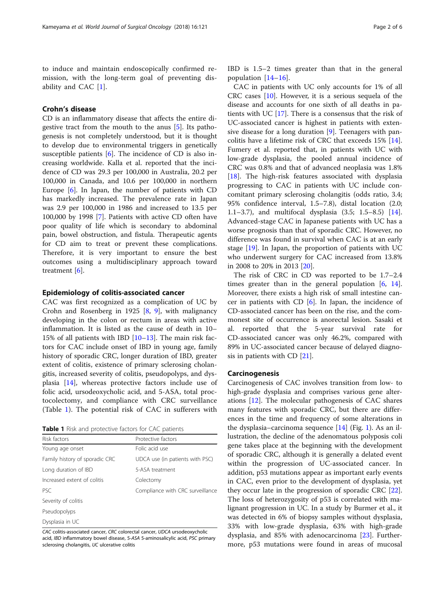to induce and maintain endoscopically confirmed remission, with the long-term goal of preventing disability and CAC [[1\]](#page-4-0).

# Crohn's disease

CD is an inflammatory disease that affects the entire digestive tract from the mouth to the anus [[5\]](#page-4-0). Its pathogenesis is not completely understood, but it is thought to develop due to environmental triggers in genetically susceptible patients  $[6]$  $[6]$ . The incidence of CD is also increasing worldwide. Kalla et al. reported that the incidence of CD was 29.3 per 100,000 in Australia, 20.2 per 100,000 in Canada, and 10.6 per 100,000 in northern Europe [[6\]](#page-4-0). In Japan, the number of patients with CD has markedly increased. The prevalence rate in Japan was 2.9 per 100,000 in 1986 and increased to 13.5 per 100,000 by 1998 [\[7](#page-4-0)]. Patients with active CD often have poor quality of life which is secondary to abdominal pain, bowel obstruction, and fistula. Therapeutic agents for CD aim to treat or prevent these complications. Therefore, it is very important to ensure the best outcomes using a multidisciplinary approach toward treatment [[6\]](#page-4-0).

## Epidemiology of colitis-associated cancer

CAC was first recognized as a complication of UC by Crohn and Rosenberg in 1925 [[8,](#page-4-0) [9\]](#page-5-0), with malignancy developing in the colon or rectum in areas with active inflammation. It is listed as the cause of death in 10– 15% of all patients with IBD [[10](#page-5-0)–[13](#page-5-0)]. The main risk factors for CAC include onset of IBD in young age, family history of sporadic CRC, longer duration of IBD, greater extent of colitis, existence of primary sclerosing cholangitis, increased severity of colitis, pseudopolyps, and dysplasia [[14](#page-5-0)], whereas protective factors include use of folic acid, ursodeoxycholic acid, and 5-ASA, total proctocolectomy, and compliance with CRC surveillance (Table 1). The potential risk of CAC in sufferers with

Table 1 Risk and protective factors for CAC patients

| Risk factors                   | Protective factors               |
|--------------------------------|----------------------------------|
| Young age onset                | Folic acid use                   |
| Family history of sporadic CRC | UDCA use (in patients with PSC)  |
| Long duration of IBD           | 5-ASA treatment                  |
| Increased extent of colitis    | Colectomy                        |
| <b>PSC</b>                     | Compliance with CRC surveillance |
| Severity of colitis            |                                  |
| Pseudopolyps                   |                                  |
| Dysplasia in UC                |                                  |

CAC colitis-associated cancer, CRC colorectal cancer, UDCA ursodeoxycholic acid, IBD inflammatory bowel disease, 5-ASA 5-aminosalicylic acid, PSC primary sclerosing cholangitis, UC ulcerative colitis

IBD is 1.5–2 times greater than that in the general population [[14](#page-5-0)–[16\]](#page-5-0).

CAC in patients with UC only accounts for 1% of all CRC cases [\[10](#page-5-0)]. However, it is a serious sequela of the disease and accounts for one sixth of all deaths in patients with UC [\[17](#page-5-0)]. There is a consensus that the risk of UC-associated cancer is highest in patients with extensive disease for a long duration [\[9](#page-5-0)]. Teenagers with pancolitis have a lifetime risk of CRC that exceeds 15% [\[14](#page-5-0)]. Fumery et al. reported that, in patients with UC with low-grade dysplasia, the pooled annual incidence of CRC was 0.8% and that of advanced neoplasia was 1.8% [[18\]](#page-5-0). The high-risk features associated with dysplasia progressing to CAC in patients with UC include concomitant primary sclerosing cholangitis (odds ratio, 3.4; 95% confidence interval, 1.5–7.8), distal location (2.0; 1.1–3.7), and multifocal dysplasia (3.5; 1.5–8.5) [\[14](#page-5-0)]. Advanced-stage CAC in Japanese patients with UC has a worse prognosis than that of sporadic CRC. However, no difference was found in survival when CAC is at an early stage [[19\]](#page-5-0). In Japan, the proportion of patients with UC who underwent surgery for CAC increased from 13.8% in 2008 to 20% in 2013 [[20\]](#page-5-0).

The risk of CRC in CD was reported to be 1.7–2.4 times greater than in the general population  $[6, 14]$  $[6, 14]$  $[6, 14]$  $[6, 14]$  $[6, 14]$ . Moreover, there exists a high risk of small intestine cancer in patients with CD [[6\]](#page-4-0). In Japan, the incidence of CD-associated cancer has been on the rise, and the commonest site of occurrence is anorectal lesion. Sasaki et al. reported that the 5-year survival rate for CD-associated cancer was only 46.2%, compared with 89% in UC-associated cancer because of delayed diagnosis in patients with CD [[21](#page-5-0)].

## Carcinogenesis

Carcinogenesis of CAC involves transition from low- to high-grade dysplasia and comprises various gene alterations [\[12](#page-5-0)]. The molecular pathogenesis of CAC shares many features with sporadic CRC, but there are differences in the time and frequency of some alterations in the dysplasia–carcinoma sequence  $[14]$  $[14]$  $[14]$  (Fig. [1](#page-2-0)). As an illustration, the decline of the adenomatous polyposis coli gene takes place at the beginning with the development of sporadic CRC, although it is generally a delated event within the progression of UC-associated cancer. In addition, p53 mutations appear as important early events in CAC, even prior to the development of dysplasia, yet they occur late in the progression of sporadic CRC [\[22](#page-5-0)]. The loss of heterozygosity of p53 is correlated with malignant progression in UC. In a study by Burmer et al., it was detected in 6% of biopsy samples without dysplasia, 33% with low-grade dysplasia, 63% with high-grade dysplasia, and 85% with adenocarcinoma [\[23\]](#page-5-0). Furthermore, p53 mutations were found in areas of mucosal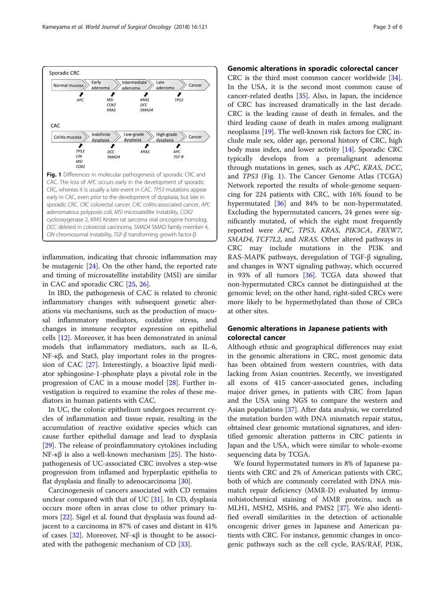<span id="page-2-0"></span>

inflammation, indicating that chronic inflammation may be mutagenic [[24](#page-5-0)]. On the other hand, the reported rate and timing of microsatellite instability (MSI) are similar in CAC and sporadic CRC [[25](#page-5-0), [26](#page-5-0)].

In IBD, the pathogenesis of CAC is related to chronic inflammatory changes with subsequent genetic alterations via mechanisms, such as the production of mucosal inflammatory mediators, oxidative stress, and changes in immune receptor expression on epithelial cells [[12\]](#page-5-0). Moreover, it has been demonstrated in animal models that inflammatory mediators, such as IL-6, NF-κβ, and Stat3, play important roles in the progression of CAC [\[27\]](#page-5-0). Interestingly, a bioactive lipid mediator sphingosine-1-phosphate plays a pivotal role in the progression of CAC in a mouse model [[28\]](#page-5-0). Further investigation is required to examine the roles of these mediators in human patients with CAC.

In UC, the colonic epithelium undergoes recurrent cycles of inflammation and tissue repair, resulting in the accumulation of reactive oxidative species which can cause further epithelial damage and lead to dysplasia [[29\]](#page-5-0). The release of proinflammatory cytokines including NF-κβ is also a well-known mechanism [[25](#page-5-0)]. The histopathogenesis of UC-associated CRC involves a step-wise progression from inflamed and hyperplastic epithelia to flat dysplasia and finally to adenocarcinoma [[30\]](#page-5-0).

Carcinogenesis of cancers associated with CD remains unclear compared with that of UC [\[31\]](#page-5-0). In CD, dysplasia occurs more often in areas close to other primary tumors [[22](#page-5-0)]. Sigel et al. found that dysplasia was found adjacent to a carcinoma in 87% of cases and distant in 41% of cases [\[32](#page-5-0)]. Moreover, NF-κβ is thought to be associated with the pathogenic mechanism of CD [[33](#page-5-0)].

## Genomic alterations in sporadic colorectal cancer

CRC is the third most common cancer worldwide [\[34](#page-5-0)]. In the USA, it is the second most common cause of cancer-related deaths [[35](#page-5-0)]. Also, in Japan, the incidence of CRC has increased dramatically in the last decade. CRC is the leading cause of death in females, and the third leading cause of death in males among malignant neoplasms [[19\]](#page-5-0). The well-known risk factors for CRC include male sex, older age, personal history of CRC, high body mass index, and lower activity [\[14](#page-5-0)]. Sporadic CRC typically develops from a premalignant adenoma through mutations in genes, such as APC, KRAS, DCC, and TP53 (Fig. 1). The Cancer Genome Atlas (TCGA) Network reported the results of whole-genome sequencing for 224 patients with CRC, with 16% found to be hypermutated [\[36](#page-5-0)] and 84% to be non-hypermutated. Excluding the hypermutated cancers, 24 genes were significantly mutated, of which the eight most frequently reported were APC, TP53, KRAS, PIK3CA, FBXW7, SMAD4, TCF7L2, and NRAS. Other altered pathways in CRC may include mutations in the PI3K and RAS-MAPK pathways, deregulation of TGF-β signaling, and changes in WNT signaling pathway, which occurred in 93% of all tumors [[36\]](#page-5-0). TCGA data showed that non-hypermutated CRCs cannot be distinguished at the genomic level; on the other hand, right-sided CRCs were more likely to be hypermethylated than those of CRCs at other sites.

# Genomic alterations in Japanese patients with colorectal cancer

Although ethnic and geographical differences may exist in the genomic alterations in CRC, most genomic data has been obtained from western countries, with data lacking from Asian countries. Recently, we investigated all exons of 415 cancer-associated genes, including major driver genes, in patients with CRC from Japan and the USA using NGS to compare the western and Asian populations [[37\]](#page-5-0). After data analysis, we correlated the mutation burden with DNA mismatch repair status, obtained clear genomic mutational signatures, and identified genomic alteration patterns in CRC patients in Japan and the USA, which were similar to whole-exome sequencing data by TCGA.

We found hypermutated tumors in 8% of Japanese patients with CRC and 2% of American patients with CRC, both of which are commonly correlated with DNA mismatch repair deficiency (MMR-D) evaluated by immunohistochemical staining of MMR proteins, such as MLH1, MSH2, MSH6, and PMS2 [\[37](#page-5-0)]. We also identified overall similarities in the detection of actionable oncogenic driver genes in Japanese and American patients with CRC. For instance, genomic changes in oncogenic pathways such as the cell cycle, RAS/RAF, PI3K,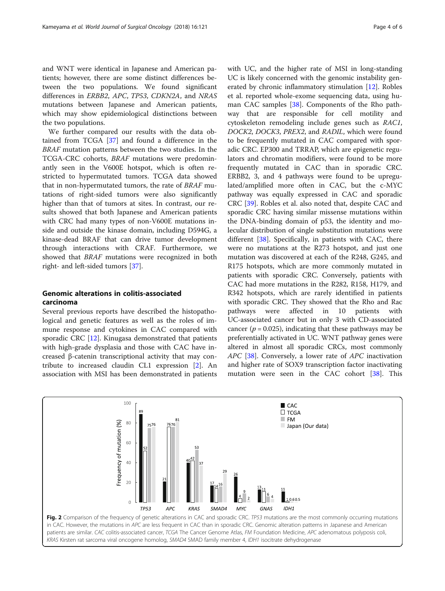<span id="page-3-0"></span>and WNT were identical in Japanese and American patients; however, there are some distinct differences between the two populations. We found significant differences in ERBB2, APC, TP53, CDKN2A, and NRAS mutations between Japanese and American patients, which may show epidemiological distinctions between the two populations.

We further compared our results with the data obtained from TCGA [[37\]](#page-5-0) and found a difference in the BRAF mutation patterns between the two studies. In the TCGA-CRC cohorts, BRAF mutations were predominantly seen in the V600E hotspot, which is often restricted to hypermutated tumors. TCGA data showed that in non-hypermutated tumors, the rate of BRAF mutations of right-sided tumors were also significantly higher than that of tumors at sites. In contrast, our results showed that both Japanese and American patients with CRC had many types of non-V600E mutations inside and outside the kinase domain, including D594G, a kinase-dead BRAF that can drive tumor development through interactions with CRAF. Furthermore, we showed that BRAF mutations were recognized in both right- and left-sided tumors [\[37](#page-5-0)].

# Genomic alterations in colitis-associated carcinoma

Several previous reports have described the histopathological and genetic features as well as the roles of immune response and cytokines in CAC compared with sporadic CRC [\[12](#page-5-0)]. Kinugasa demonstrated that patients with high-grade dysplasia and those with CAC have increased β-catenin transcriptional activity that may contribute to increased claudin CL1 expression [[2\]](#page-4-0). An association with MSI has been demonstrated in patients with UC, and the higher rate of MSI in long-standing UC is likely concerned with the genomic instability generated by chronic inflammatory stimulation [[12\]](#page-5-0). Robles et al. reported whole-exome sequencing data, using human CAC samples [\[38\]](#page-5-0). Components of the Rho pathway that are responsible for cell motility and cytoskeleton remodeling include genes such as RAC1, DOCK2, DOCK3, PREX2, and RADIL, which were found to be frequently mutated in CAC compared with sporadic CRC. EP300 and TRRAP, which are epigenetic regulators and chromatin modifiers, were found to be more frequently mutated in CAC than in sporadic CRC. ERBB2, 3, and 4 pathways were found to be upregulated/amplified more often in CAC, but the c-MYC pathway was equally expressed in CAC and sporadic CRC [\[39](#page-5-0)]. Robles et al. also noted that, despite CAC and sporadic CRC having similar missense mutations within the DNA-binding domain of p53, the identity and molecular distribution of single substitution mutations were different [\[38\]](#page-5-0). Specifically, in patients with CAC, there were no mutations at the R273 hotspot, and just one mutation was discovered at each of the R248, G245, and R175 hotspots, which are more commonly mutated in patients with sporadic CRC. Conversely, patients with CAC had more mutations in the R282, R158, H179, and R342 hotspots, which are rarely identified in patients with sporadic CRC. They showed that the Rho and Rac pathways were affected in 10 patients with UC-associated cancer but in only 3 with CD-associated cancer ( $p = 0.025$ ), indicating that these pathways may be preferentially activated in UC. WNT pathway genes were altered in almost all sporadic CRCs, most commonly APC [[38\]](#page-5-0). Conversely, a lower rate of APC inactivation and higher rate of SOX9 transcription factor inactivating mutation were seen in the CAC cohort [[38](#page-5-0)]. This

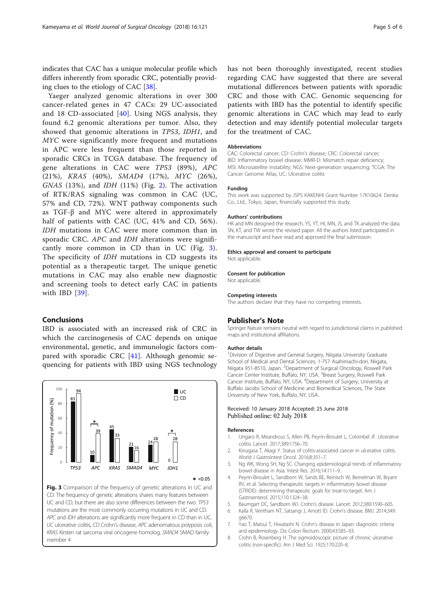<span id="page-4-0"></span>indicates that CAC has a unique molecular profile which differs inherently from sporadic CRC, potentially providing clues to the etiology of CAC [\[38\]](#page-5-0).

Yaeger analyzed genomic alterations in over 300 cancer-related genes in 47 CACs: 29 UC-associated and 18 CD-associated [[40\]](#page-5-0). Using NGS analysis, they found 6.2 genomic alterations per tumor. Also, they showed that genomic alterations in TP53, IDH1, and MYC were significantly more frequent and mutations in APC were less frequent than those reported in sporadic CRCs in TCGA database. The frequency of gene alterations in CAC were TP53 (89%), APC (21%), KRAS (40%), SMAD4 (17%), MYC (26%),  $GNAS$  (13%), and  $IDH$  (11%) (Fig. [2\)](#page-3-0). The activation of RTK/RAS signaling was common in CAC (UC, 57% and CD, 72%). WNT pathway components such as TGF-β and MYC were altered in approximately half of patients with CAC (UC, 41% and CD, 56%). IDH mutations in CAC were more common than in sporadic CRC. APC and IDH alterations were significantly more common in CD than in UC (Fig. 3). The specificity of IDH mutations in CD suggests its potential as a therapeutic target. The unique genetic mutations in CAC may also enable new diagnostic and screening tools to detect early CAC in patients with IBD [\[39\]](#page-5-0).

## Conclusions

IBD is associated with an increased risk of CRC in which the carcinogenesis of CAC depends on unique environmental, genetic, and immunologic factors compared with sporadic CRC  $[41]$  $[41]$ . Although genomic sequencing for patients with IBD using NGS technology



has not been thoroughly investigated, recent studies regarding CAC have suggested that there are several mutational differences between patients with sporadic CRC and those with CAC. Genomic sequencing for patients with IBD has the potential to identify specific genomic alterations in CAC which may lead to early detection and may identify potential molecular targets for the treatment of CAC.

#### Abbreviations

CAC: Colorectal cancer; CD: Crohn's disease; CRC: Colorectal cancer; IBD: Inflammatory bowel disease; MMR-D: Mismatch repair deficiency; MSI: Microsatellite instability; NGS: Next-generation sequencing; TCGA: The Cancer Genome Atlas; UC: Ulcerative colitis

#### Funding

This work was supported by JSPS KAKENHI Grant Number 17K10624. Denka Co., Ltd., Tokyo, Japan, financially supported this study.

#### Authors' contributions

HK and MN designed the research. YS, YT, HI, MN, JS, and TK analyzed the data. SN, KT, and TW wrote the revised paper. All the authors listed participated in the manuscript and have read and approved the final submission.

#### Ethics approval and consent to participate

Not applicable.

#### Consent for publication

Not applicable.

#### Competing interests

The authors declare that they have no competing interests.

## Publisher's Note

Springer Nature remains neutral with regard to jurisdictional claims in published maps and institutional affiliations.

#### Author details

<sup>1</sup> Division of Digestive and General Surgery, Niigata University Graduate School of Medical and Dental Sciences, 1-757 Asahimachi-dori, Niigata, Niigata 951-8510, Japan. <sup>2</sup>Department of Surgical Oncology, Roswell Park Cancer Center Institute, Buffalo, NY, USA. <sup>3</sup> Breast Surgery, Roswell Park Cancer Institute, Buffalo, NY, USA. <sup>4</sup>Department of Surgery, University at Buffalo Jacobs School of Medicine and Biomedical Sciences, The State University of New York, Buffalo, NY, USA.

### Received: 10 January 2018 Accepted: 25 June 2018 Published online: 02 July 2018

#### References

- 1. Ungaro R, Meandrous S, Allen PB, Peyrin-Biroulet L, Colombel JF. Ulcerative colitis. Lancet. 2017;389:1756–70.
- 2. Kinugasa T, Akagi Y. Status of colitis-associated cancer in ulcerative colitis. World J Gastrointest Oncol. 2016;8:351–7.
- 3. Ng WK, Wong SH, Ng SC. Changing epidemiological trends of inflammatory bowel disease in Asia. Intest Res. 2016;14:111–9.
- 4. Peyrin-Biroulet L, Sandborn W, Sands BE, Reinisch W, Bemelman W, Bryant RV, et al. Selecting therapeutic targets in inflammatory bowel disease (STRIDE): determining therapeutic goals for treat-to-target. Am J Gastroenterol. 2015;110:1324–38.
- 5. Baumgart DC, Sandborn WJ. Crohn's disease. Lancet. 2012;380:1590–605.
- 6. Kalla R, Ventham NT, Satsangi J, Arnott ID. Crohn's disease. BMJ. 2014;349: g6670.
- 7. Yao T, Matsui T, Hiwatashi N. Crohn's disease in Japan: diagnostic criteria and epidemiology. Dis Colon Rectum. 2000;43:S85–93.
- 8. Crohn B, Rosenberg H. The sigmoidoscopic picture of chronic ulcerative colitis (non-specific). Am J Med Sci. 1925;170:220–8.